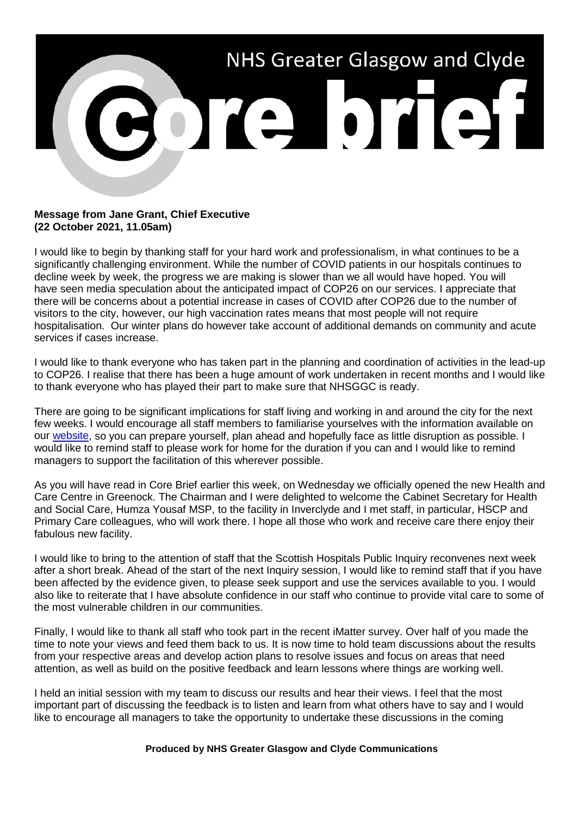

## **Message from Jane Grant, Chief Executive (22 October 2021, 11.05am)**

I would like to begin by thanking staff for your hard work and professionalism, in what continues to be a significantly challenging environment. While the number of COVID patients in our hospitals continues to decline week by week, the progress we are making is slower than we all would have hoped. You will have seen media speculation about the anticipated impact of COP26 on our services. I appreciate that there will be concerns about a potential increase in cases of COVID after COP26 due to the number of visitors to the city, however, our high vaccination rates means that most people will not require hospitalisation. Our winter plans do however take account of additional demands on community and acute services if cases increase.

I would like to thank everyone who has taken part in the planning and coordination of activities in the lead-up to COP26. I realise that there has been a huge amount of work undertaken in recent months and I would like to thank everyone who has played their part to make sure that NHSGGC is ready.

There are going to be significant implications for staff living and working in and around the city for the next few weeks. I would encourage all staff members to familiarise yourselves with the information available on our [website,](https://www.nhsggc.org.uk/about-us/cop26-conference/staff-information/) so you can prepare yourself, plan ahead and hopefully face as little disruption as possible. I would like to remind staff to please work for home for the duration if you can and I would like to remind managers to support the facilitation of this wherever possible.

As you will have read in Core Brief earlier this week, on Wednesday we officially opened the new Health and Care Centre in Greenock. The Chairman and I were delighted to welcome the Cabinet Secretary for Health and Social Care, Humza Yousaf MSP, to the facility in Inverclyde and I met staff, in particular, HSCP and Primary Care colleagues, who will work there. I hope all those who work and receive care there enjoy their fabulous new facility.

I would like to bring to the attention of staff that the Scottish Hospitals Public Inquiry reconvenes next week after a short break. Ahead of the start of the next Inquiry session, I would like to remind staff that if you have been affected by the evidence given, to please seek support and use the services available to you. I would also like to reiterate that I have absolute confidence in our staff who continue to provide vital care to some of the most vulnerable children in our communities.

Finally, I would like to thank all staff who took part in the recent iMatter survey. Over half of you made the time to note your views and feed them back to us. It is now time to hold team discussions about the results from your respective areas and develop action plans to resolve issues and focus on areas that need attention, as well as build on the positive feedback and learn lessons where things are working well.

I held an initial session with my team to discuss our results and hear their views. I feel that the most important part of discussing the feedback is to listen and learn from what others have to say and I would like to encourage all managers to take the opportunity to undertake these discussions in the coming

## **Produced by NHS Greater Glasgow and Clyde Communications**